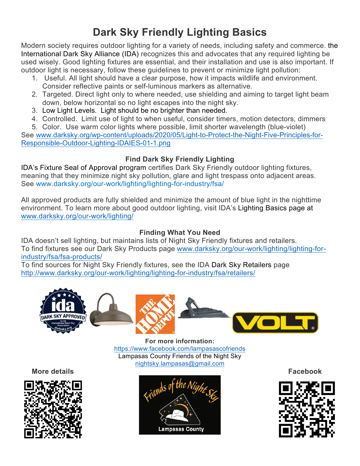## **Dark Sky Friendly Lighting Basics**

Modern society requires outdoor lighting for a variety of needs, including safety and commerce. the International Dark Sky Alliance (IDA) recognizes this and advocates that any required lighting be used wisely. Good lighting fixtures are essential, and their installation and use is also important. If outdoor light is necessary, follow these guidelines to prevent or minimize light pollution:

- 1. Useful. All light should have a clear purpose, how it impacts wildlife and environment. Consider reflective paints or self-luminous markers as alternative.
- 2. Targeted. Direct light only to where needed, use shielding and aiming to target light beam down, below horizontal so no light escapes into the night sky.
- 3. Low Light Levels. Light should be no brighter than needed.
- 4. Controlled. Limit use of light to when useful, consider timers, motion detectors, dimmers
- 5. Color. Use warm color lights where possible, limit shorter wavelength (blue-violet)

See www.darksky.org/wp-content/uploads/2020/05/Light-to-Protect-the-Night-Five-Principles-for-Responsible-Outdoor-Lighting-IDAIES-01-1.png

## **Find Dark Sky Friendly Lighting**

IDA's Fixture Seal of Approval program certifies Dark Sky Friendly outdoor lighting fixtures, meaning that they minimize night sky pollution, glare and light trespass onto adjacent areas. See www.darksky.org/our-work/lighting/lighting-for-industry/fsa/

All approved products are fully shielded and minimize the amount of blue light in the nighttime environment. To learn more about good outdoor lighting, visit IDA's Lighting Basics page at www.darksky.org/our-work/lighting/

## **Finding What You Need**

IDA doesn't sell lighting, but maintains lists of Night Sky Friendly fixtures and retailers. To find fixtures see our Dark Sky Products page www.darksky.org/our-work/lighting/lighting-forindustry/fsa/fsa-products/

To find sources for Night Sky Friendly fixtures, see the IDA Dark Sky Retailers page http://www.darksky.org/our-work/lighting/lighting-for-industry/fsa/retailers/



**For more information:** https://www.facebook.com/lampasascofriends Lampasas County Friends of the Night Sky nightsky.lampasas@gmail.com

**More details Facebook**